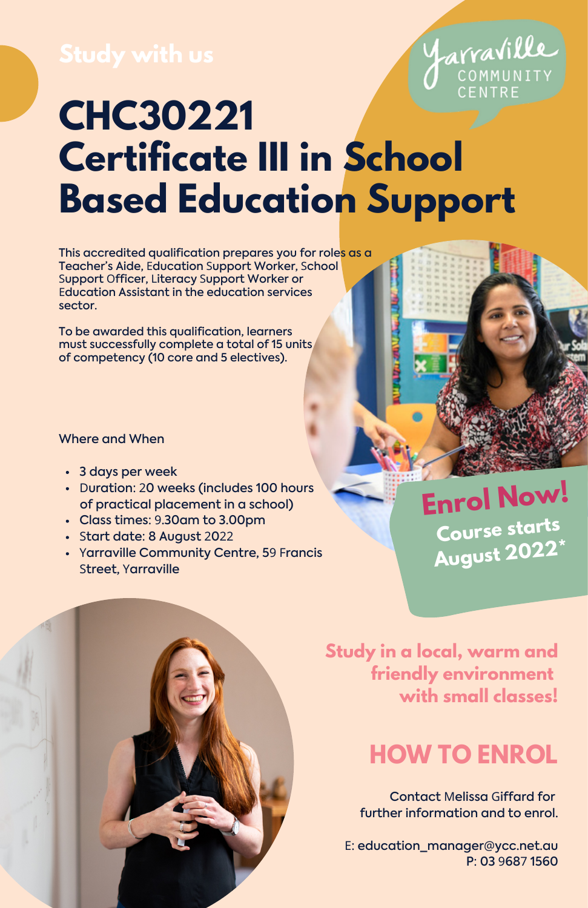

# **CHC30221 Certificate III in School Based Education Support**

This accredited qualification prepares you for roles as a Teacher's Aide, Education Support Worker, School Support Officer, Literacy Support Worker or Education Assistant in the education services sector.

To be awarded this qualification, learners must successfully complete a total of 15 units of competency (10 core and 5 electives).

## Where and When

- 3 days per week
- Duration: 20 weeks (includes 100 hours of practical placement in a school)
- Class times: 9.30am to 3.00pm
- Start date: 8 August 2022
- Yarraville Community Centre, 59 Francis Street, Yarraville

**Enrol Now! Course starts August 2022\***



**Study in a local, warm and friendly environment with small classes!**

## **HOW TO ENROL**

Contact Melissa Giffard for further information and to enrol.

E: [education\\_manager](mailto:Education_Manager@ycc.net.au)@ycc.net.au P: 03 9687 1560